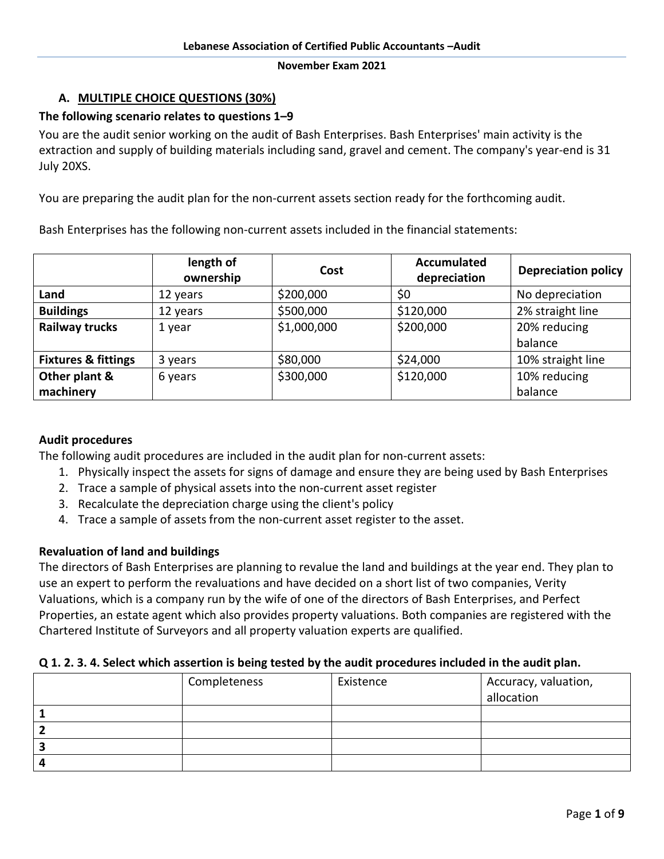## **A. MULTIPLE CHOICE QUESTIONS (30%)**

### **The following scenario relates to questions 1–9**

You are the audit senior working on the audit of Bash Enterprises. Bash Enterprises' main activity is the extraction and supply of building materials including sand, gravel and cement. The company's year-end is 31 July 20XS.

You are preparing the audit plan for the non-current assets section ready for the forthcoming audit.

Bash Enterprises has the following non-current assets included in the financial statements:

|                                | length of<br>ownership | Cost        | <b>Accumulated</b><br>depreciation | <b>Depreciation policy</b> |
|--------------------------------|------------------------|-------------|------------------------------------|----------------------------|
| Land                           | 12 years               | \$200,000   | \$0                                | No depreciation            |
| <b>Buildings</b>               | 12 years               | \$500,000   | \$120,000                          | 2% straight line           |
| <b>Railway trucks</b>          | 1 year                 | \$1,000,000 | \$200,000                          | 20% reducing<br>balance    |
| <b>Fixtures &amp; fittings</b> | 3 years                | \$80,000    | \$24,000                           | 10% straight line          |
| Other plant &<br>machinery     | 6 years                | \$300,000   | \$120,000                          | 10% reducing<br>balance    |

### **Audit procedures**

The following audit procedures are included in the audit plan for non-current assets:

- 1. Physically inspect the assets for signs of damage and ensure they are being used by Bash Enterprises
- 2. Trace a sample of physical assets into the non-current asset register
- 3. Recalculate the depreciation charge using the client's policy
- 4. Trace a sample of assets from the non-current asset register to the asset.

### **Revaluation of land and buildings**

The directors of Bash Enterprises are planning to revalue the land and buildings at the year end. They plan to use an expert to perform the revaluations and have decided on a short list of two companies, Verity Valuations, which is a company run by the wife of one of the directors of Bash Enterprises, and Perfect Properties, an estate agent which also provides property valuations. Both companies are registered with the Chartered Institute of Surveyors and all property valuation experts are qualified.

#### **Q 1. 2. 3. 4. Select which assertion is being tested by the audit procedures included in the audit plan.**

| Completeness | Existence | Accuracy, valuation,<br>allocation |
|--------------|-----------|------------------------------------|
|              |           |                                    |
|              |           |                                    |
|              |           |                                    |
|              |           |                                    |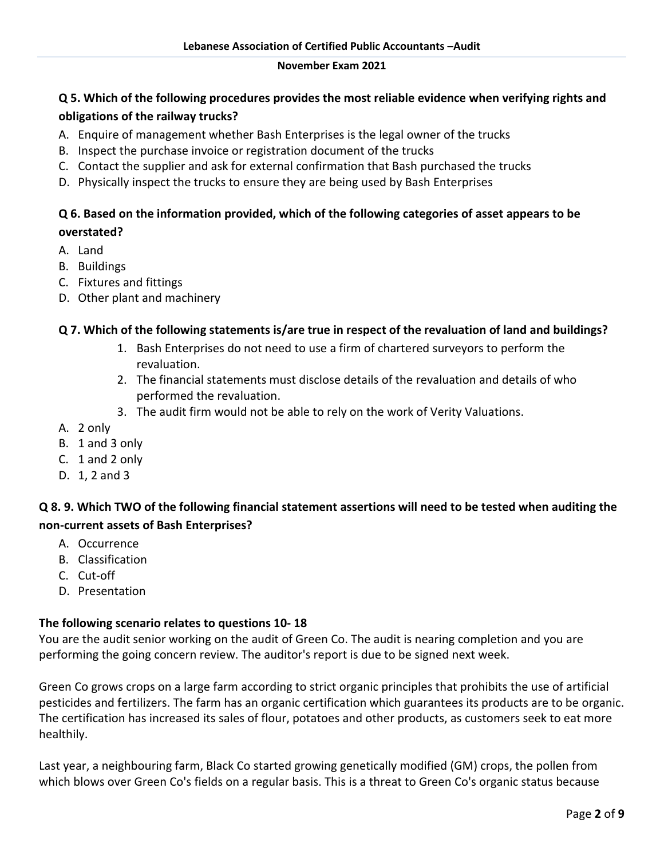# **Q 5. Which of the following procedures provides the most reliable evidence when verifying rights and obligations of the railway trucks?**

- A. Enquire of management whether Bash Enterprises is the legal owner of the trucks
- B. Inspect the purchase invoice or registration document of the trucks
- C. Contact the supplier and ask for external confirmation that Bash purchased the trucks
- D. Physically inspect the trucks to ensure they are being used by Bash Enterprises

# **Q 6. Based on the information provided, which of the following categories of asset appears to be overstated?**

- A. Land
- B. Buildings
- C. Fixtures and fittings
- D. Other plant and machinery

## **Q 7. Which of the following statements is/are true in respect of the revaluation of land and buildings?**

- 1. Bash Enterprises do not need to use a firm of chartered surveyors to perform the revaluation.
- 2. The financial statements must disclose details of the revaluation and details of who performed the revaluation.
- 3. The audit firm would not be able to rely on the work of Verity Valuations.
- A. 2 only
- B. 1 and 3 only
- C. 1 and 2 only
- D. 1, 2 and 3

# **Q 8. 9. Which TWO of the following financial statement assertions will need to be tested when auditing the non-current assets of Bash Enterprises?**

- A. Occurrence
- B. Classification
- C. Cut-off
- D. Presentation

### **The following scenario relates to questions 10- 18**

You are the audit senior working on the audit of Green Co. The audit is nearing completion and you are performing the going concern review. The auditor's report is due to be signed next week.

Green Co grows crops on a large farm according to strict organic principles that prohibits the use of artificial pesticides and fertilizers. The farm has an organic certification which guarantees its products are to be organic. The certification has increased its sales of flour, potatoes and other products, as customers seek to eat more healthily.

Last year, a neighbouring farm, Black Co started growing genetically modified (GM) crops, the pollen from which blows over Green Co's fields on a regular basis. This is a threat to Green Co's organic status because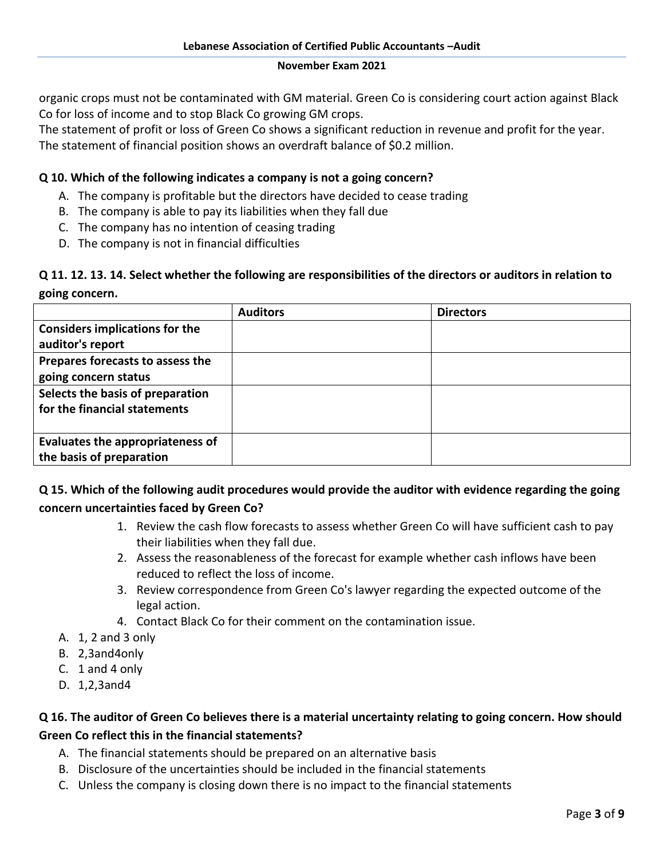organic crops must not be contaminated with GM material. Green Co is considering court action against Black Co for loss of income and to stop Black Co growing GM crops.

The statement of profit or loss of Green Co shows a significant reduction in revenue and profit for the year. The statement of financial position shows an overdraft balance of \$0.2 million.

### **Q 10. Which of the following indicates a company is not a going concern?**

- A. The company is profitable but the directors have decided to cease trading
- B. The company is able to pay its liabilities when they fall due
- C. The company has no intention of ceasing trading
- D. The company is not in financial difficulties

# **Q 11. 12. 13. 14. Select whether the following are responsibilities of the directors or auditors in relation to going concern.**

|                                       | <b>Auditors</b> | <b>Directors</b> |
|---------------------------------------|-----------------|------------------|
| <b>Considers implications for the</b> |                 |                  |
| auditor's report                      |                 |                  |
| Prepares forecasts to assess the      |                 |                  |
| going concern status                  |                 |                  |
| Selects the basis of preparation      |                 |                  |
| for the financial statements          |                 |                  |
|                                       |                 |                  |
| Evaluates the appropriateness of      |                 |                  |
| the basis of preparation              |                 |                  |

## **Q 15. Which of the following audit procedures would provide the auditor with evidence regarding the going concern uncertainties faced by Green Co?**

- 1. Review the cash flow forecasts to assess whether Green Co will have sufficient cash to pay their liabilities when they fall due.
- 2. Assess the reasonableness of the forecast for example whether cash inflows have been reduced to reflect the loss of income.
- 3. Review correspondence from Green Co's lawyer regarding the expected outcome of the legal action.
- 4. Contact Black Co for their comment on the contamination issue.
- A. 1, 2 and 3 only
- B. 2,3and4only
- C. 1 and 4 only
- D. 1,2,3and4

# **Q 16. The auditor of Green Co believes there is a material uncertainty relating to going concern. How should**

### **Green Co reflect this in the financial statements?**

- A. The financial statements should be prepared on an alternative basis
- B. Disclosure of the uncertainties should be included in the financial statements
- C. Unless the company is closing down there is no impact to the financial statements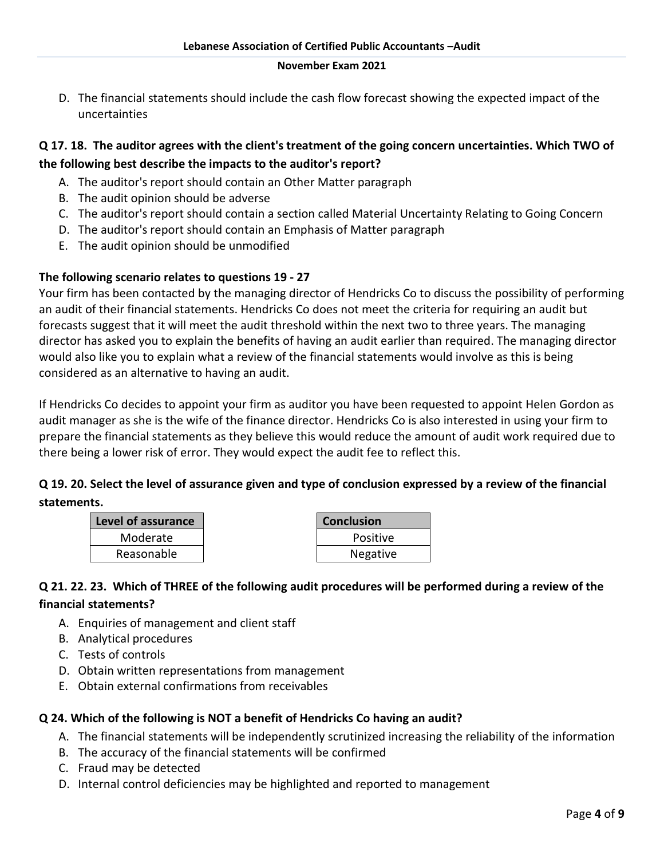D. The financial statements should include the cash flow forecast showing the expected impact of the uncertainties

# **Q 17. 18. The auditor agrees with the client's treatment of the going concern uncertainties. Which TWO of the following best describe the impacts to the auditor's report?**

- A. The auditor's report should contain an Other Matter paragraph
- B. The audit opinion should be adverse
- C. The auditor's report should contain a section called Material Uncertainty Relating to Going Concern
- D. The auditor's report should contain an Emphasis of Matter paragraph
- E. The audit opinion should be unmodified

## **The following scenario relates to questions 19 - 27**

Your firm has been contacted by the managing director of Hendricks Co to discuss the possibility of performing an audit of their financial statements. Hendricks Co does not meet the criteria for requiring an audit but forecasts suggest that it will meet the audit threshold within the next two to three years. The managing director has asked you to explain the benefits of having an audit earlier than required. The managing director would also like you to explain what a review of the financial statements would involve as this is being considered as an alternative to having an audit.

If Hendricks Co decides to appoint your firm as auditor you have been requested to appoint Helen Gordon as audit manager as she is the wife of the finance director. Hendricks Co is also interested in using your firm to prepare the financial statements as they believe this would reduce the amount of audit work required due to there being a lower risk of error. They would expect the audit fee to reflect this.

**Q 19. 20. Select the level of assurance given and type of conclusion expressed by a review of the financial statements.**

| Level of assurance | <b>Conclusion</b> |
|--------------------|-------------------|
| Moderate           | Positive          |
| Reasonable         | <b>Negative</b>   |

## **Q 21. 22. 23. Which of THREE of the following audit procedures will be performed during a review of the financial statements?**

- A. Enquiries of management and client staff
- B. Analytical procedures
- C. Tests of controls
- D. Obtain written representations from management
- E. Obtain external confirmations from receivables

### **Q 24. Which of the following is NOT a benefit of Hendricks Co having an audit?**

- A. The financial statements will be independently scrutinized increasing the reliability of the information
- B. The accuracy of the financial statements will be confirmed
- C. Fraud may be detected
- D. Internal control deficiencies may be highlighted and reported to management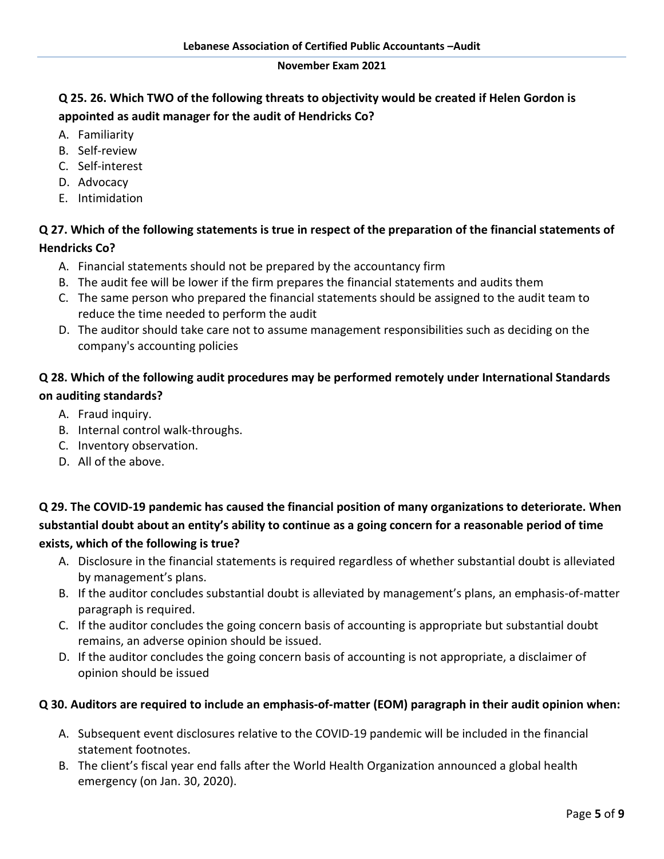# **Q 25. 26. Which TWO of the following threats to objectivity would be created if Helen Gordon is appointed as audit manager for the audit of Hendricks Co?**

- A. Familiarity
- B. Self-review
- C. Self-interest
- D. Advocacy
- E. Intimidation

# **Q 27. Which of the following statements is true in respect of the preparation of the financial statements of Hendricks Co?**

- A. Financial statements should not be prepared by the accountancy firm
- B. The audit fee will be lower if the firm prepares the financial statements and audits them
- C. The same person who prepared the financial statements should be assigned to the audit team to reduce the time needed to perform the audit
- D. The auditor should take care not to assume management responsibilities such as deciding on the company's accounting policies

# **Q 28. Which of the following audit procedures may be performed remotely under International Standards**

- **on auditing standards?** 
	- A. Fraud inquiry.
	- B. Internal control walk-throughs.
	- C. Inventory observation.
	- D. All of the above.

**Q 29. The COVID-19 pandemic has caused the financial position of many organizations to deteriorate. When substantial doubt about an entity's ability to continue as a going concern for a reasonable period of time exists, which of the following is true?** 

- A. Disclosure in the financial statements is required regardless of whether substantial doubt is alleviated by management's plans.
- B. If the auditor concludes substantial doubt is alleviated by management's plans, an emphasis-of-matter paragraph is required.
- C. If the auditor concludes the going concern basis of accounting is appropriate but substantial doubt remains, an adverse opinion should be issued.
- D. If the auditor concludes the going concern basis of accounting is not appropriate, a disclaimer of opinion should be issued

## **Q 30. Auditors are required to include an emphasis-of-matter (EOM) paragraph in their audit opinion when:**

- A. Subsequent event disclosures relative to the COVID-19 pandemic will be included in the financial statement footnotes.
- B. The client's fiscal year end falls after the World Health Organization announced a global health emergency (on Jan. 30, 2020).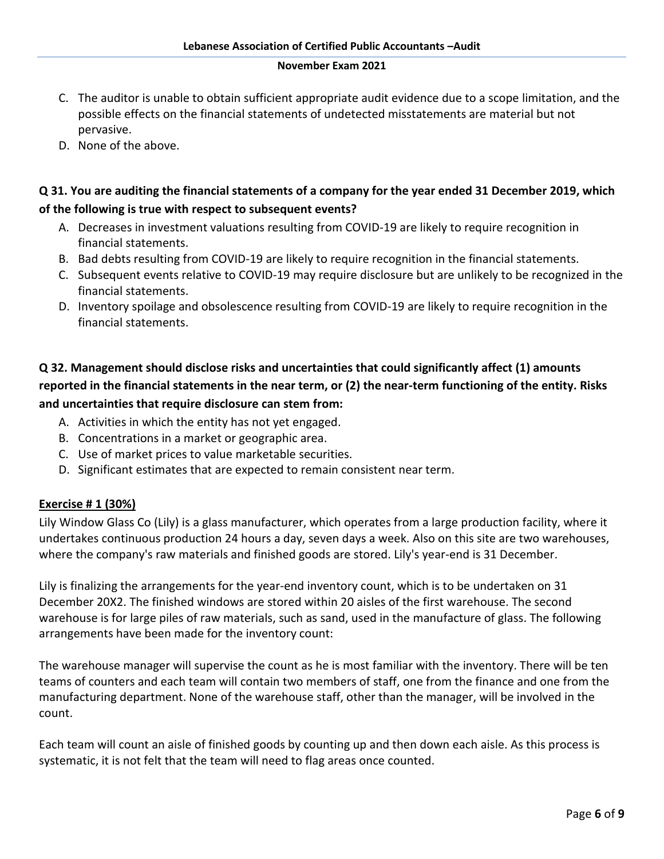- C. The auditor is unable to obtain sufficient appropriate audit evidence due to a scope limitation, and the possible effects on the financial statements of undetected misstatements are material but not pervasive.
- D. None of the above.

# **Q 31. You are auditing the financial statements of a company for the year ended 31 December 2019, which of the following is true with respect to subsequent events?**

- A. Decreases in investment valuations resulting from COVID-19 are likely to require recognition in financial statements.
- B. Bad debts resulting from COVID-19 are likely to require recognition in the financial statements.
- C. Subsequent events relative to COVID-19 may require disclosure but are unlikely to be recognized in the financial statements.
- D. Inventory spoilage and obsolescence resulting from COVID-19 are likely to require recognition in the financial statements.

# **Q 32. Management should disclose risks and uncertainties that could significantly affect (1) amounts reported in the financial statements in the near term, or (2) the near-term functioning of the entity. Risks and uncertainties that require disclosure can stem from:**

- A. Activities in which the entity has not yet engaged.
- B. Concentrations in a market or geographic area.
- C. Use of market prices to value marketable securities.
- D. Significant estimates that are expected to remain consistent near term.

## **Exercise # 1 (30%)**

Lily Window Glass Co (Lily) is a glass manufacturer, which operates from a large production facility, where it undertakes continuous production 24 hours a day, seven days a week. Also on this site are two warehouses, where the company's raw materials and finished goods are stored. Lily's year-end is 31 December.

Lily is finalizing the arrangements for the year-end inventory count, which is to be undertaken on 31 December 20X2. The finished windows are stored within 20 aisles of the first warehouse. The second warehouse is for large piles of raw materials, such as sand, used in the manufacture of glass. The following arrangements have been made for the inventory count:

The warehouse manager will supervise the count as he is most familiar with the inventory. There will be ten teams of counters and each team will contain two members of staff, one from the finance and one from the manufacturing department. None of the warehouse staff, other than the manager, will be involved in the count.

Each team will count an aisle of finished goods by counting up and then down each aisle. As this process is systematic, it is not felt that the team will need to flag areas once counted.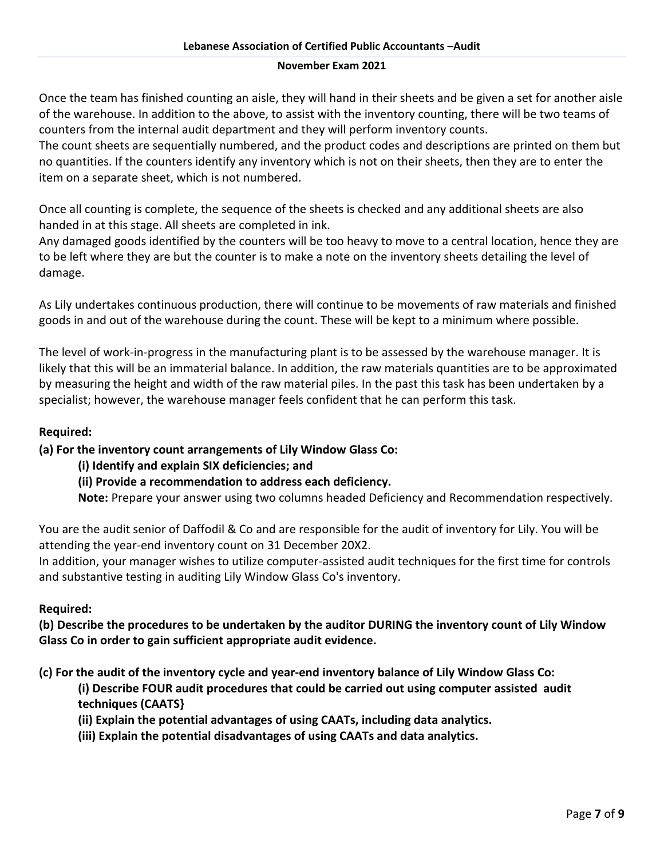Once the team has finished counting an aisle, they will hand in their sheets and be given a set for another aisle of the warehouse. In addition to the above, to assist with the inventory counting, there will be two teams of counters from the internal audit department and they will perform inventory counts.

The count sheets are sequentially numbered, and the product codes and descriptions are printed on them but no quantities. If the counters identify any inventory which is not on their sheets, then they are to enter the item on a separate sheet, which is not numbered.

Once all counting is complete, the sequence of the sheets is checked and any additional sheets are also handed in at this stage. All sheets are completed in ink.

Any damaged goods identified by the counters will be too heavy to move to a central location, hence they are to be left where they are but the counter is to make a note on the inventory sheets detailing the level of damage.

As Lily undertakes continuous production, there will continue to be movements of raw materials and finished goods in and out of the warehouse during the count. These will be kept to a minimum where possible.

The level of work-in-progress in the manufacturing plant is to be assessed by the warehouse manager. It is likely that this will be an immaterial balance. In addition, the raw materials quantities are to be approximated by measuring the height and width of the raw material piles. In the past this task has been undertaken by a specialist; however, the warehouse manager feels confident that he can perform this task.

### **Required:**

### **(a) For the inventory count arrangements of Lily Window Glass Co:**

### **(i) Identify and explain SIX deficiencies; and**

## **(ii) Provide a recommendation to address each deficiency.**

**Note:** Prepare your answer using two columns headed Deficiency and Recommendation respectively.

You are the audit senior of Daffodil & Co and are responsible for the audit of inventory for Lily. You will be attending the year-end inventory count on 31 December 20X2.

In addition, your manager wishes to utilize computer-assisted audit techniques for the first time for controls and substantive testing in auditing Lily Window Glass Co's inventory.

### **Required:**

**(b) Describe the procedures to be undertaken by the auditor DURING the inventory count of Lily Window Glass Co in order to gain sufficient appropriate audit evidence.** 

**(c) For the audit of the inventory cycle and year-end inventory balance of Lily Window Glass Co:**

**(i) Describe FOUR audit procedures that could be carried out using computer assisted audit techniques (CAATS}**

**(ii) Explain the potential advantages of using CAATs, including data analytics.**

**(iii) Explain the potential disadvantages of using CAATs and data analytics.**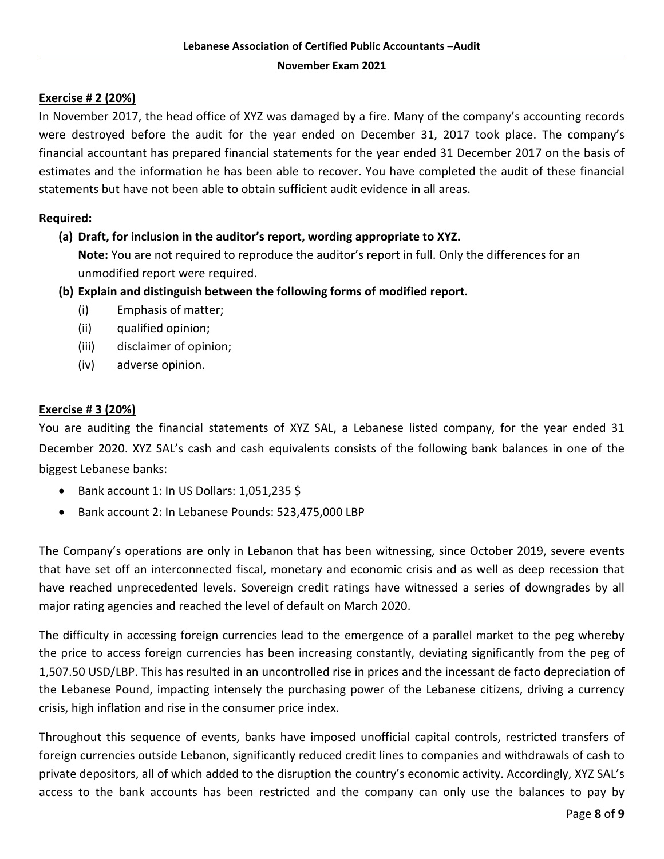### **Exercise # 2 (20%)**

In November 2017, the head office of XYZ was damaged by a fire. Many of the company's accounting records were destroyed before the audit for the year ended on December 31, 2017 took place. The company's financial accountant has prepared financial statements for the year ended 31 December 2017 on the basis of estimates and the information he has been able to recover. You have completed the audit of these financial statements but have not been able to obtain sufficient audit evidence in all areas.

### **Required:**

### **(a) Draft, for inclusion in the auditor's report, wording appropriate to XYZ.**

**Note:** You are not required to reproduce the auditor's report in full. Only the differences for an unmodified report were required.

- **(b) Explain and distinguish between the following forms of modified report.**
	- (i) Emphasis of matter;
	- (ii) qualified opinion;
	- (iii) disclaimer of opinion;
	- (iv) adverse opinion.

### **Exercise # 3 (20%)**

You are auditing the financial statements of XYZ SAL, a Lebanese listed company, for the year ended 31 December 2020. XYZ SAL's cash and cash equivalents consists of the following bank balances in one of the biggest Lebanese banks:

- Bank account 1: In US Dollars: 1,051,235 \$
- Bank account 2: In Lebanese Pounds: 523,475,000 LBP

The Company's operations are only in Lebanon that has been witnessing, since October 2019, severe events that have set off an interconnected fiscal, monetary and economic crisis and as well as deep recession that have reached unprecedented levels. Sovereign credit ratings have witnessed a series of downgrades by all major rating agencies and reached the level of default on March 2020.

The difficulty in accessing foreign currencies lead to the emergence of a parallel market to the peg whereby the price to access foreign currencies has been increasing constantly, deviating significantly from the peg of 1,507.50 USD/LBP. This has resulted in an uncontrolled rise in prices and the incessant de facto depreciation of the Lebanese Pound, impacting intensely the purchasing power of the Lebanese citizens, driving a currency crisis, high inflation and rise in the consumer price index.

Throughout this sequence of events, banks have imposed unofficial capital controls, restricted transfers of foreign currencies outside Lebanon, significantly reduced credit lines to companies and withdrawals of cash to private depositors, all of which added to the disruption the country's economic activity. Accordingly, XYZ SAL's access to the bank accounts has been restricted and the company can only use the balances to pay by